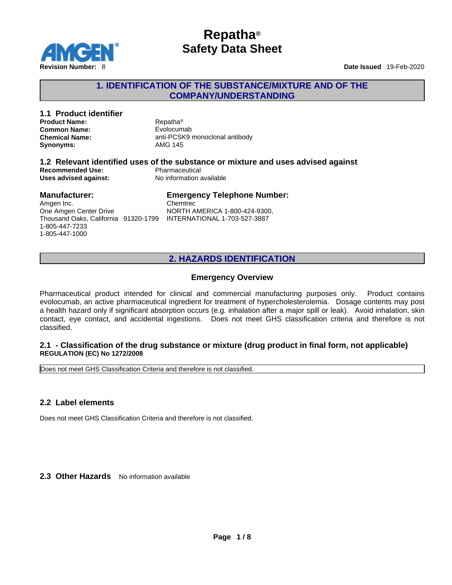

## **1. IDENTIFICATION OF THE SUBSTANCE/MIXTURE AND OF THE COMPANY/UNDERSTANDING**

| Repatha <sup>®</sup><br>Evolocumab                                                                                              |                                |
|---------------------------------------------------------------------------------------------------------------------------------|--------------------------------|
| AMG 145                                                                                                                         |                                |
| 1.2 Relevant identified uses of the substance or mixture and uses advised against<br>Pharmaceutical<br>No information available |                                |
| <b>Emergency Telephone Number:</b><br>Chemtrec<br>NORTH AMERICA 1-800-424-9300                                                  |                                |
|                                                                                                                                 | anti-PCSK9 monoclonal antibody |

)ne Amgen Center Drive Thousand Oaks, California 91320-1799 INTERNATIONAL 1-703-527-3887 1-805-447-7233 1-805-447-1000

NORTH AMERICA 1-800-424-9300,

## **2. HAZARDS IDENTIFICATION**

### **Emergency Overview**

Pharmaceutical product intended for clinical and commercial manufacturing purposes only. Product contains evolocumab, an active pharmaceutical ingredient for treatment of hypercholesterolemia. Dosage contents may post a health hazard only if significant absorption occurs (e.g. inhalation after a major spill or leak). Avoid inhalation, skin contact, eye contact, and accidental ingestions. Does not meet GHS classification criteria and therefore is not classified.

#### **2.1 - Classification of the drug substance or mixture (drug product in final form, not applicable) REGULATION (EC) No 1272/2008**

Does not meet GHS Classification Criteria and therefore is not classified.

### **2.2 Label elements**

Does not meet GHS Classification Criteria and therefore is not classified.

**2.3 Other Hazards** No information available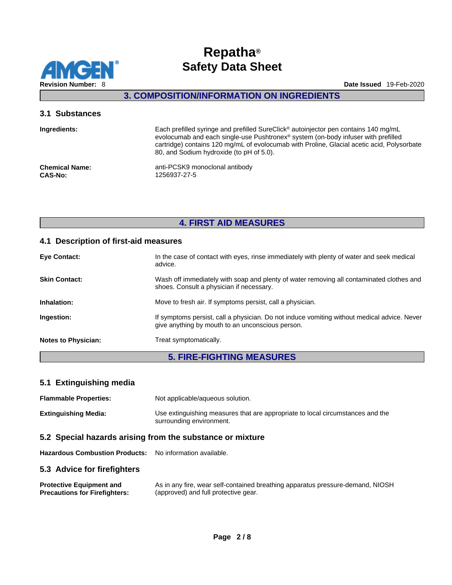

## **3. COMPOSITION/INFORMATION ON INGREDIENTS**

### **3.1 Substances**

| Ingredients:          | Each prefilled syringe and prefilled SureClick® autoinjector pen contains 140 mg/mL<br>evolocumab and each single-use Pushtronex <sup>®</sup> system (on-body infuser with prefilled<br>cartridge) contains 120 mg/mL of evolocumab with Proline, Glacial acetic acid, Polysorbate<br>80, and Sodium hydroxide (to pH of 5.0). |
|-----------------------|--------------------------------------------------------------------------------------------------------------------------------------------------------------------------------------------------------------------------------------------------------------------------------------------------------------------------------|
| <b>Chemical Name:</b> | anti-PCSK9 monoclonal antibody                                                                                                                                                                                                                                                                                                 |
| <b>CAS-No:</b>        | 1256937-27-5                                                                                                                                                                                                                                                                                                                   |

## **4. FIRST AID MEASURES**

### **4.1 Description of first-aid measures**

| <b>Eye Contact:</b>        | In the case of contact with eyes, rinse immediately with plenty of water and seek medical<br>advice.                                            |
|----------------------------|-------------------------------------------------------------------------------------------------------------------------------------------------|
| <b>Skin Contact:</b>       | Wash off immediately with soap and plenty of water removing all contaminated clothes and<br>shoes. Consult a physician if necessary.            |
| Inhalation:                | Move to fresh air. If symptoms persist, call a physician.                                                                                       |
| Ingestion:                 | If symptoms persist, call a physician. Do not induce vomiting without medical advice. Never<br>give anything by mouth to an unconscious person. |
| <b>Notes to Physician:</b> | Treat symptomatically.                                                                                                                          |

## **5. FIRE-FIGHTING MEASURES**

### **5.1 Extinguishing media**

| <b>Flammable Properties:</b> | Not applicable/aqueous solution.                                                                           |
|------------------------------|------------------------------------------------------------------------------------------------------------|
| <b>Extinguishing Media:</b>  | Use extinguishing measures that are appropriate to local circumstances and the<br>surrounding environment. |

## **5.2 Special hazards arising from the substance or mixture**

**Hazardous Combustion Products:** No information available.

#### **5.3 Advice for firefighters**

| <b>Protective Equipment and</b>      | As in any fire, wear self-contained breathing apparatus pressure-demand, NIOSH |
|--------------------------------------|--------------------------------------------------------------------------------|
| <b>Precautions for Firefighters:</b> | (approved) and full protective gear.                                           |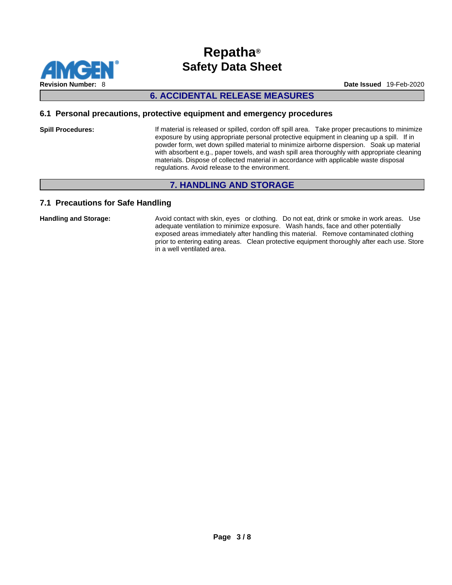

## **6. ACCIDENTAL RELEASE MEASURES**

### **6.1 Personal precautions, protective equipment and emergency procedures**

**Spill Procedures:** If material is released or spilled, cordon off spill area. Take proper precautions to minimize exposure by using appropriate personal protective equipment in cleaning up a spill. If in powder form, wet down spilled material to minimize airborne dispersion. Soak up material with absorbent e.g., paper towels, and wash spill area thoroughly with appropriate cleaning materials. Dispose of collected material in accordance with applicable waste disposal regulations. Avoid release to the environment.

## **7. HANDLING AND STORAGE**

### **7.1 Precautions for Safe Handling**

Handling and Storage: **Avoid contact with skin, eyes** or clothing. Do not eat, drink or smoke in work areas. Use adequate ventilation to minimize exposure. Wash hands, face and other potentially exposed areas immediately after handling this material. Remove contaminated clothing prior to entering eating areas. Clean protective equipment thoroughly after each use. Store in a well ventilated area.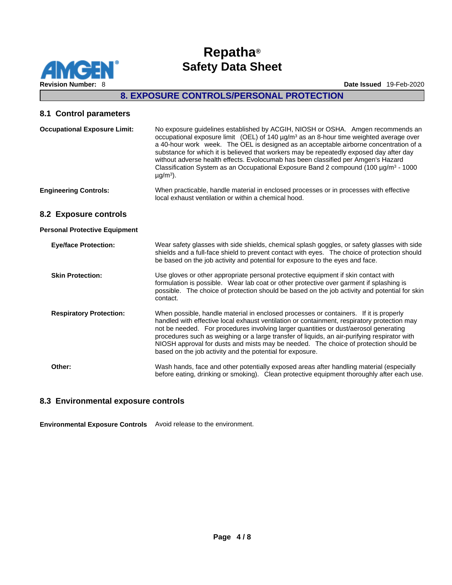

## **8. EXPOSURE CONTROLS/PERSONAL PROTECTION**

## **8.1 Control parameters**

| <b>Occupational Exposure Limit:</b>  | No exposure guidelines established by ACGIH, NIOSH or OSHA. Amgen recommends an<br>occupational exposure limit (OEL) of 140 $\mu$ g/m <sup>3</sup> as an 8-hour time weighted average over<br>a 40-hour work week. The OEL is designed as an acceptable airborne concentration of a<br>substance for which it is believed that workers may be repeatedly exposed day after day<br>without adverse health effects. Evolocumab has been classified per Amgen's Hazard<br>Classification System as an Occupational Exposure Band 2 compound (100 $\mu$ g/m <sup>3</sup> - 1000<br>$\mu$ g/m <sup>3</sup> ). |
|--------------------------------------|----------------------------------------------------------------------------------------------------------------------------------------------------------------------------------------------------------------------------------------------------------------------------------------------------------------------------------------------------------------------------------------------------------------------------------------------------------------------------------------------------------------------------------------------------------------------------------------------------------|
| <b>Engineering Controls:</b>         | When practicable, handle material in enclosed processes or in processes with effective<br>local exhaust ventilation or within a chemical hood.                                                                                                                                                                                                                                                                                                                                                                                                                                                           |
| 8.2 Exposure controls                |                                                                                                                                                                                                                                                                                                                                                                                                                                                                                                                                                                                                          |
| <b>Personal Protective Equipment</b> |                                                                                                                                                                                                                                                                                                                                                                                                                                                                                                                                                                                                          |
| <b>Eye/face Protection:</b>          | Wear safety glasses with side shields, chemical splash goggles, or safety glasses with side<br>shields and a full-face shield to prevent contact with eyes. The choice of protection should<br>be based on the job activity and potential for exposure to the eyes and face.                                                                                                                                                                                                                                                                                                                             |
| <b>Skin Protection:</b>              | Use gloves or other appropriate personal protective equipment if skin contact with<br>formulation is possible. Wear lab coat or other protective over garment if splashing is<br>possible. The choice of protection should be based on the job activity and potential for skin<br>contact.                                                                                                                                                                                                                                                                                                               |
| <b>Respiratory Protection:</b>       | When possible, handle material in enclosed processes or containers. If it is properly<br>handled with effective local exhaust ventilation or containment, respiratory protection may<br>not be needed. For procedures involving larger quantities or dust/aerosol generating<br>procedures such as weighing or a large transfer of liquids, an air-purifying respirator with<br>NIOSH approval for dusts and mists may be needed. The choice of protection should be<br>based on the job activity and the potential for exposure.                                                                        |
| Other:                               | Wash hands, face and other potentially exposed areas after handling material (especially<br>before eating, drinking or smoking). Clean protective equipment thoroughly after each use.                                                                                                                                                                                                                                                                                                                                                                                                                   |

### **8.3 Environmental exposure controls**

**Environmental Exposure Controls** Avoid release to the environment.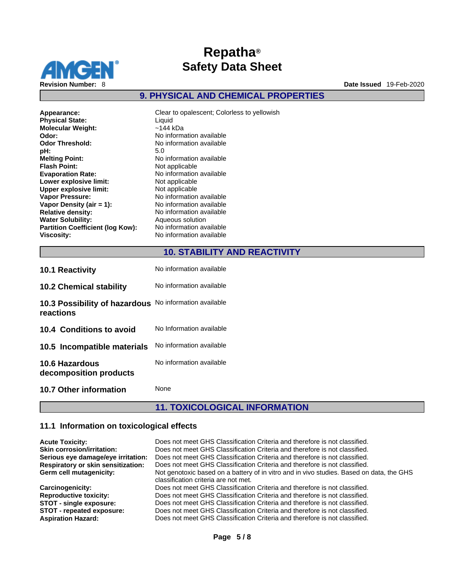

**9. PHYSICAL AND CHEMICAL PROPERTIES** 

Clear to opalescent; Colorless to yellowish **Liquid Molecular Weight:** ~144 kDa **Odor:** No information available No information available<br>5.0 **Melting Point:** No information available **Not applicable Evaporation Rate:** No information available **Not applicable Not applicable No information available No information available Relative density:** No information available **Aqueous solution Partition Coefficient (log Kow):** No information available

## **10. STABILITY AND REACTIVITY**

| <b>10.1 Reactivity</b>                          | No information available |
|-------------------------------------------------|--------------------------|
| <b>10.2 Chemical stability</b>                  | No information available |
| 10.3 Possibility of hazardous<br>reactions      | No information available |
| 10.4 Conditions to avoid                        | No Information available |
| 10.5 Incompatible materials                     | No information available |
| <b>10.6 Hazardous</b><br>decomposition products | No information available |
| 10.7 Other information                          | None                     |

## **11. TOXICOLOGICAL INFORMATION**

#### **11.1 Information on toxicological effects**

| <b>Acute Toxicity:</b><br><b>Skin corrosion/irritation:</b><br>Serious eye damage/eye irritation: | Does not meet GHS Classification Criteria and therefore is not classified.<br>Does not meet GHS Classification Criteria and therefore is not classified.<br>Does not meet GHS Classification Criteria and therefore is not classified. |
|---------------------------------------------------------------------------------------------------|----------------------------------------------------------------------------------------------------------------------------------------------------------------------------------------------------------------------------------------|
| <b>Respiratory or skin sensitization:</b>                                                         | Does not meet GHS Classification Criteria and therefore is not classified.                                                                                                                                                             |
| Germ cell mutagenicity:                                                                           | Not genotoxic based on a battery of in vitro and in vivo studies. Based on data, the GHS<br>classification criteria are not met.                                                                                                       |
| <b>Carcinogenicity:</b>                                                                           | Does not meet GHS Classification Criteria and therefore is not classified.                                                                                                                                                             |
| <b>Reproductive toxicity:</b>                                                                     | Does not meet GHS Classification Criteria and therefore is not classified.                                                                                                                                                             |
| <b>STOT - single exposure:</b>                                                                    | Does not meet GHS Classification Criteria and therefore is not classified.                                                                                                                                                             |
| STOT - repeated exposure:<br><b>Aspiration Hazard:</b>                                            | Does not meet GHS Classification Criteria and therefore is not classified.<br>Does not meet GHS Classification Criteria and therefore is not classified.                                                                               |
|                                                                                                   |                                                                                                                                                                                                                                        |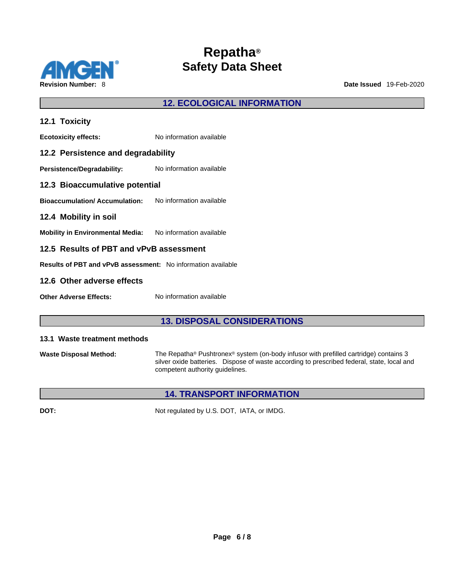

**12. ECOLOGICAL INFORMATION** 

| 12.1 Toxicity                                                       |                          |  |
|---------------------------------------------------------------------|--------------------------|--|
| <b>Ecotoxicity effects:</b>                                         | No information available |  |
| 12.2 Persistence and degradability                                  |                          |  |
| Persistence/Degradability:                                          | No information available |  |
| 12.3 Bioaccumulative potential                                      |                          |  |
| <b>Bioaccumulation/Accumulation:</b> No information available       |                          |  |
| 12.4 Mobility in soil                                               |                          |  |
| Mobility in Environmental Media: No information available           |                          |  |
| 12.5 Results of PBT and vPvB assessment                             |                          |  |
| <b>Results of PBT and vPvB assessment:</b> No information available |                          |  |
| 12.6 Other adverse effects                                          |                          |  |
|                                                                     |                          |  |

## **13. DISPOSAL CONSIDERATIONS**

#### **13.1 Waste treatment methods**

**Other Adverse Effects:** No information available

**Waste Disposal Method:** The Repatha® Pushtronex® system (on-body infusor with prefilled cartridge) contains 3 silver oxide batteries. Dispose of waste according to prescribed federal, state, local and competent authority guidelines.

## **14. TRANSPORT INFORMATION**

**DOT:** Not regulated by U.S. DOT, IATA, or IMDG.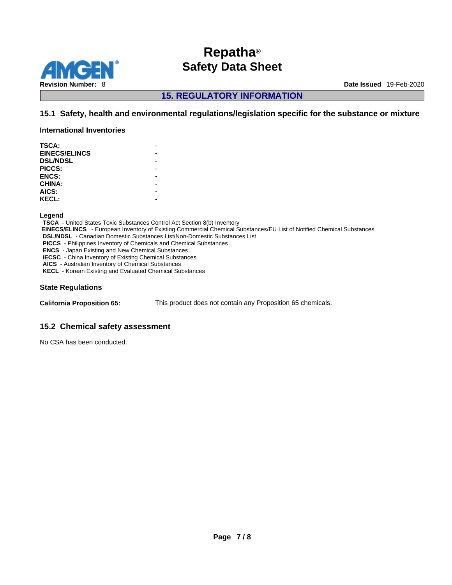

**15. REGULATORY INFORMATION** 

## **15.1 Safety, health and environmental regulations/legislation specific for the substance or mixture**

**International Inventories**

| <b>TSCA:</b>         |  |
|----------------------|--|
| <b>EINECS/ELINCS</b> |  |
| <b>DSL/NDSL</b>      |  |
| PICCS:               |  |
| <b>ENCS:</b>         |  |
| CHINA:               |  |
| AICS:                |  |
| <b>KECL:</b>         |  |
|                      |  |

**Legend** 

**TSCA** - United States Toxic Substances Control Act Section 8(b) Inventory  **EINECS/ELINCS** - European Inventory of Existing Commercial Chemical Substances/EU List of Notified Chemical Substances **DSL/NDSL** - Canadian Domestic Substances List/Non-Domestic Substances List **PICCS** - Philippines Inventory of Chemicals and Chemical Substances **ENCS** - Japan Existing and New Chemical Substances **IECSC** - China Inventory of Existing Chemical Substances **AICS** - Australian Inventory of Chemical Substances **KECL** - Korean Existing and Evaluated Chemical Substances

#### **State Regulations**

**California Proposition 65:** This product does not contain any Proposition 65 chemicals.

### **15.2 Chemical safety assessment**

No CSA has been conducted.